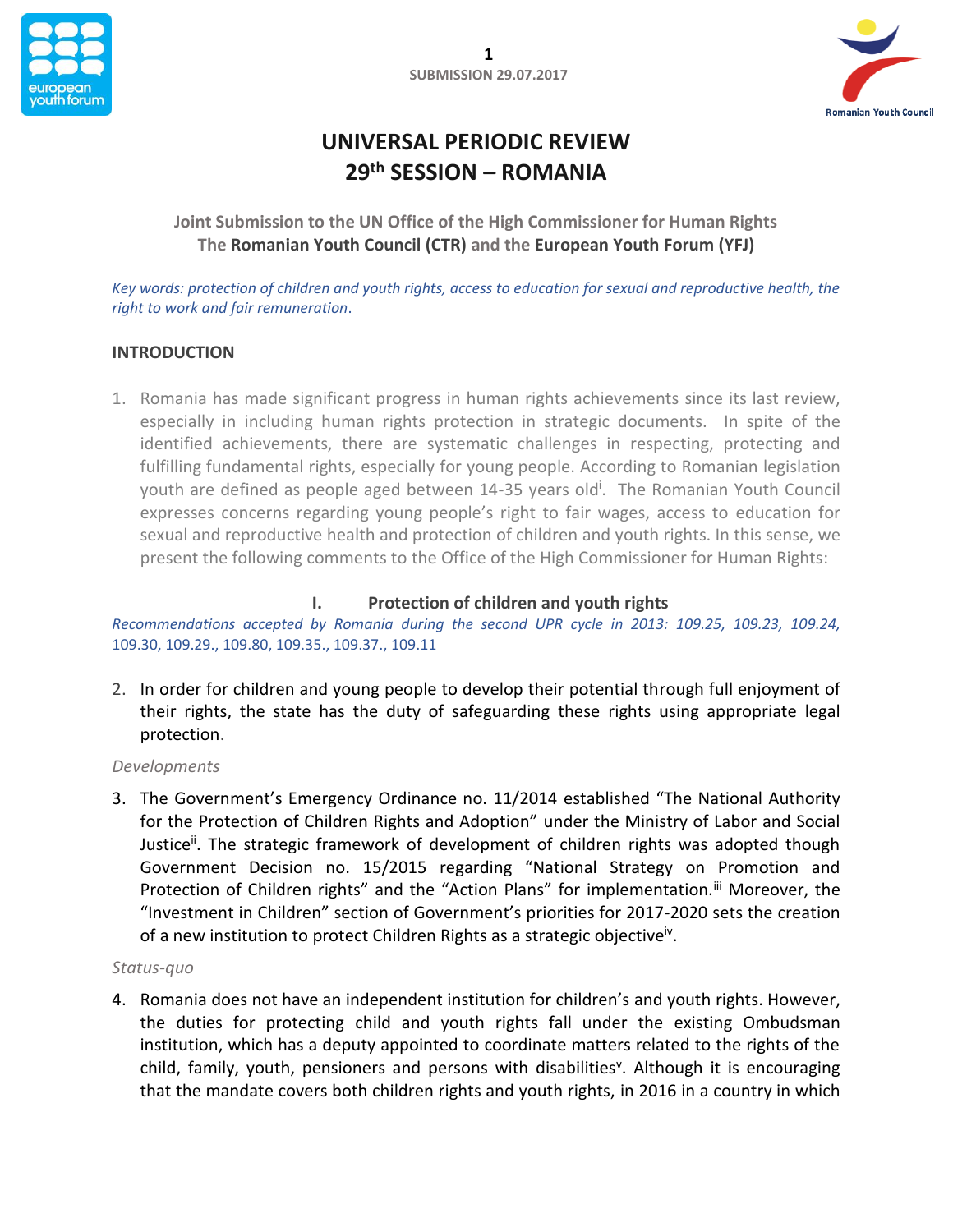



# **UNIVERSAL PERIODIC REVIEW 29th SESSION – ROMANIA**

**Joint Submission to the UN Office of the High Commissioner for Human Rights The Romanian Youth Council (CTR) and the European Youth Forum (YFJ)**

*Key words: protection of children and youth rights, access to education for sexual and reproductive health, the right to work and fair remuneration*.

# **INTRODUCTION**

1. Romania has made significant progress in human rights achievements since its last review, especially in including human rights protection in strategic documents. In spite of the identified achievements, there are systematic challenges in respecting, protecting and fulfilling fundamental rights, especially for young people. According to Romanian legislation youth are defined as people aged between 14-35 years old<sup>i</sup>. The Romanian Youth Council expresses concerns regarding young people's right to fair wages, access to education for sexual and reproductive health and protection of children and youth rights. In this sense, we present the following comments to the Office of the High Commissioner for Human Rights:

# **I. Protection of children and youth rights**

*Recommendations accepted by Romania during the second UPR cycle in 2013: 109.25, 109.23, 109.24,*  109.30, 109.29., 109.80, 109.35., 109.37., 109.11

2. In order for children and young people to develop their potential through full enjoyment of their rights, the state has the duty of safeguarding these rights using appropriate legal protection.

## *Developments*

3. The Government's Emergency Ordinance no. 11/2014 established "The National Authority for the Protection of Children Rights and Adoption" under the Ministry of Labor and Social Justice<sup>ii</sup>. The strategic framework of development of children rights was adopted though Government Decision no. 15/2015 regarding "National Strategy on Promotion and Protection of Children rights" and the "Action Plans" for implementation.<sup>iii</sup> Moreover, the "Investment in Children" section of Government's priorities for 2017-2020 sets the creation of a new institution to protect Children Rights as a strategic objective<sup>iv</sup>.

#### *Status-quo*

4. Romania does not have an independent institution for children's and youth rights. However, the duties for protecting child and youth rights fall under the existing Ombudsman institution, which has a deputy appointed to coordinate matters related to the rights of the child, family, youth, pensioners and persons with disabilities<sup>v</sup>. Although it is encouraging that the mandate covers both children rights and youth rights, in 2016 in a country in which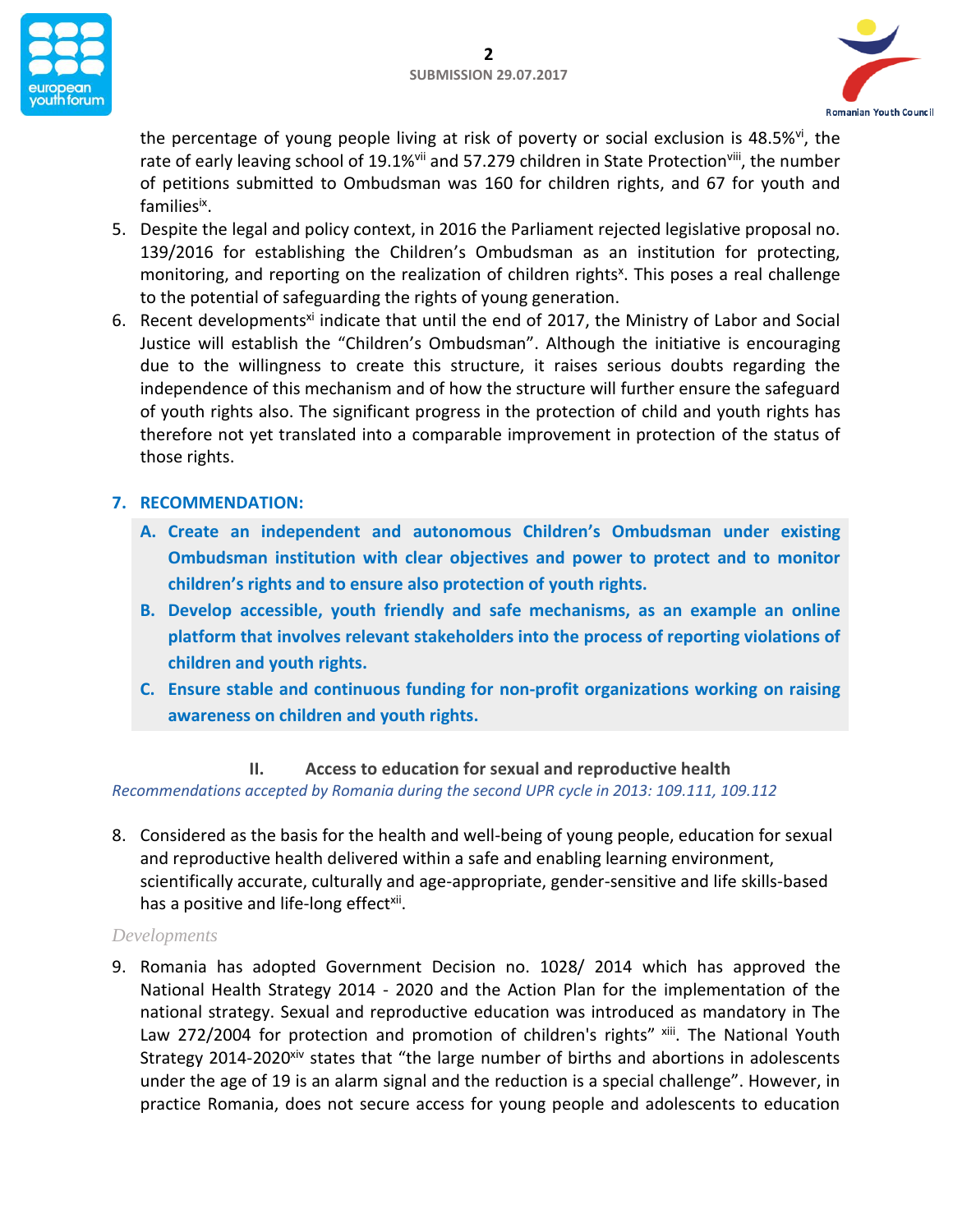



the percentage of young people living at risk of poverty or social exclusion is 48.5%<sup>vi</sup>, the rate of early leaving school of 19.1%<sup>vii</sup> and 57.279 children in State Protection<sup>viii</sup>, the number of petitions submitted to Ombudsman was 160 for children rights, and 67 for youth and families<sup>ix</sup>.

- 5. Despite the legal and policy context, in 2016 the Parliament rejected legislative proposal no. 139/2016 for establishing the Children's Ombudsman as an institution for protecting, monitoring, and reporting on the realization of children rights<sup>x</sup>. This poses a real challenge to the potential of safeguarding the rights of young generation.
- 6. Recent developments<sup>xi</sup> indicate that until the end of 2017, the Ministry of Labor and Social Justice will establish the "Children's Ombudsman". Although the initiative is encouraging due to the willingness to create this structure, it raises serious doubts regarding the independence of this mechanism and of how the structure will further ensure the safeguard of youth rights also. The significant progress in the protection of child and youth rights has therefore not yet translated into a comparable improvement in protection of the status of those rights.

# **7. RECOMMENDATION:**

- **A. Create an independent and autonomous Children's Ombudsman under existing Ombudsman institution with clear objectives and power to protect and to monitor children's rights and to ensure also protection of youth rights.**
- **B. Develop accessible, youth friendly and safe mechanisms, as an example an online platform that involves relevant stakeholders into the process of reporting violations of children and youth rights.**
- **C. Ensure stable and continuous funding for non-profit organizations working on raising awareness on children and youth rights.**

# **II. Access to education for sexual and reproductive health**

*Recommendations accepted by Romania during the second UPR cycle in 2013: 109.111, 109.112*

8. Considered as the basis for the health and well-being of young people, education for sexual and reproductive health delivered within a safe and enabling learning environment, scientifically accurate, culturally and age-appropriate, gender-sensitive and life skills-based has a positive and life-long effect<sup>xii</sup>.

## *Developments*

9. Romania has adopted Government Decision no. 1028/ 2014 which has approved the National Health Strategy 2014 - 2020 and the Action Plan for the implementation of the national strategy. Sexual and reproductive education was introduced as mandatory in The Law 272/2004 for protection and promotion of children's rights" xiii. The National Youth Strategy 2014-2020<sup>xiv</sup> states that "the large number of births and abortions in adolescents under the age of 19 is an alarm signal and the reduction is a special challenge". However, in practice Romania, does not secure access for young people and adolescents to education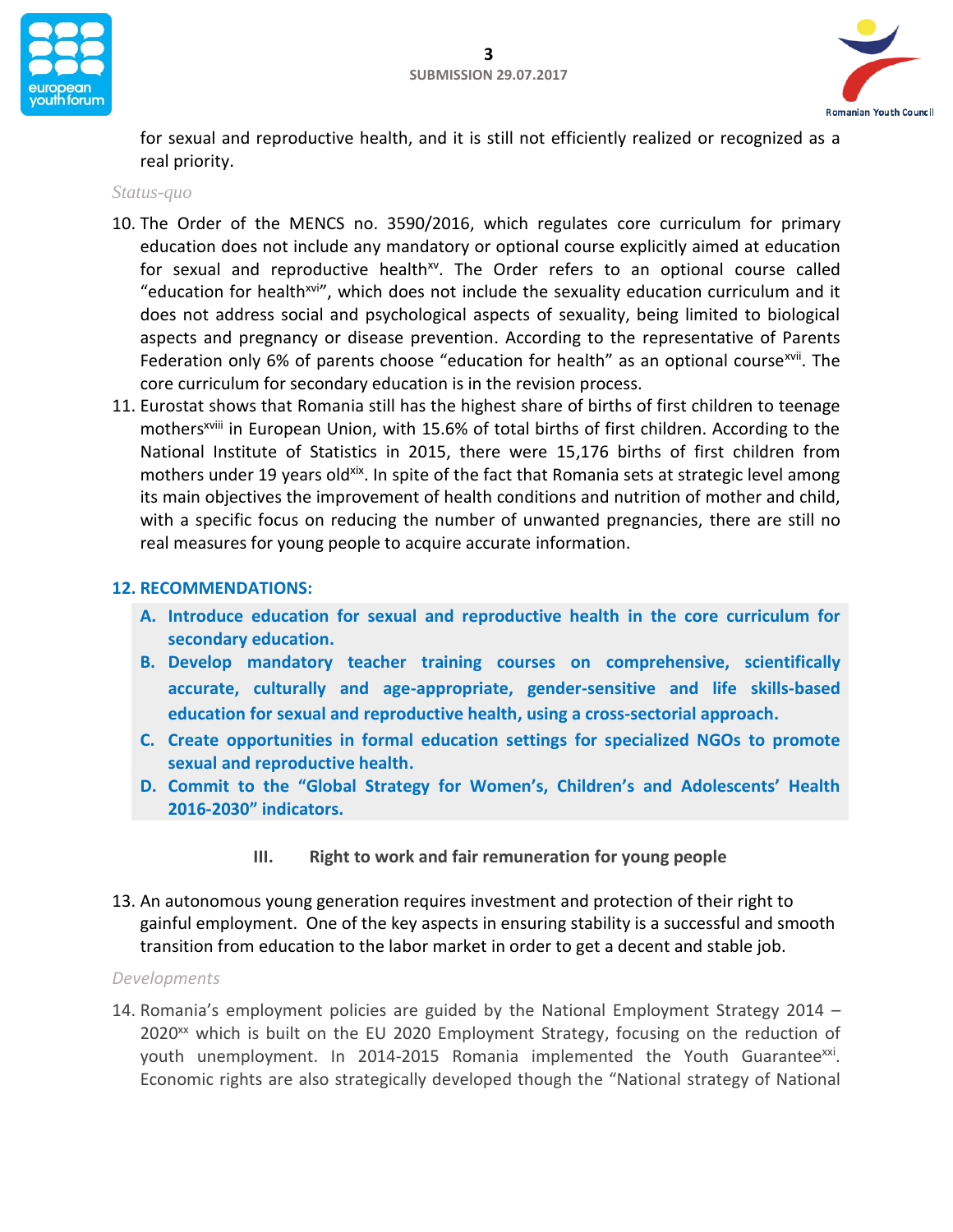



for sexual and reproductive health, and it is still not efficiently realized or recognized as a real priority.

### *Status-quo*

- 10. The Order of the MENCS no. 3590/2016, which regulates core curriculum for primary education does not include any mandatory or optional course explicitly aimed at education for sexual and reproductive health<sup>xv</sup>. The Order refers to an optional course called "education for health<sup>xvi"</sup>, which does not include the sexuality education curriculum and it does not address social and psychological aspects of sexuality, being limited to biological aspects and pregnancy or disease prevention. According to the representative of Parents Federation only 6% of parents choose "education for health" as an optional course<sup>xvii</sup>. The core curriculum for secondary education is in the revision process.
- 11. Eurostat shows that Romania still has the highest share of births of first children to teenage mothers<sup>xviii</sup> in European Union, with 15.6% of total births of first children. According to the National Institute of Statistics in 2015, there were 15,176 births of first children from mothers under 19 years old<sup>xix</sup>. In spite of the fact that Romania sets at strategic level among its main objectives the improvement of health conditions and nutrition of mother and child, with a specific focus on reducing the number of unwanted pregnancies, there are still no real measures for young people to acquire accurate information.

## **12. RECOMMENDATIONS:**

- **A. Introduce education for sexual and reproductive health in the core curriculum for secondary education.**
- **B. Develop mandatory teacher training courses on comprehensive, scientifically accurate, culturally and age-appropriate, gender-sensitive and life skills-based education for sexual and reproductive health, using a cross-sectorial approach.**
- **C. Create opportunities in formal education settings for specialized NGOs to promote sexual and reproductive health.**
- **D. Commit to the "Global Strategy for Women's, Children's and Adolescents' Health 2016-2030" indicators.**
	- **III. Right to work and fair remuneration for young people**
- 13. An autonomous young generation requires investment and protection of their right to gainful employment. One of the key aspects in ensuring stability is a successful and smooth transition from education to the labor market in order to get a decent and stable job.

#### *Developments*

14. Romania's employment policies are guided by the National Employment Strategy 2014 –  $2020<sup>xx</sup>$  which is built on the EU 2020 Employment Strategy, focusing on the reduction of youth unemployment. In 2014-2015 Romania implemented the Youth Guarantee<sup>xxi</sup>. Economic rights are also strategically developed though the "National strategy of National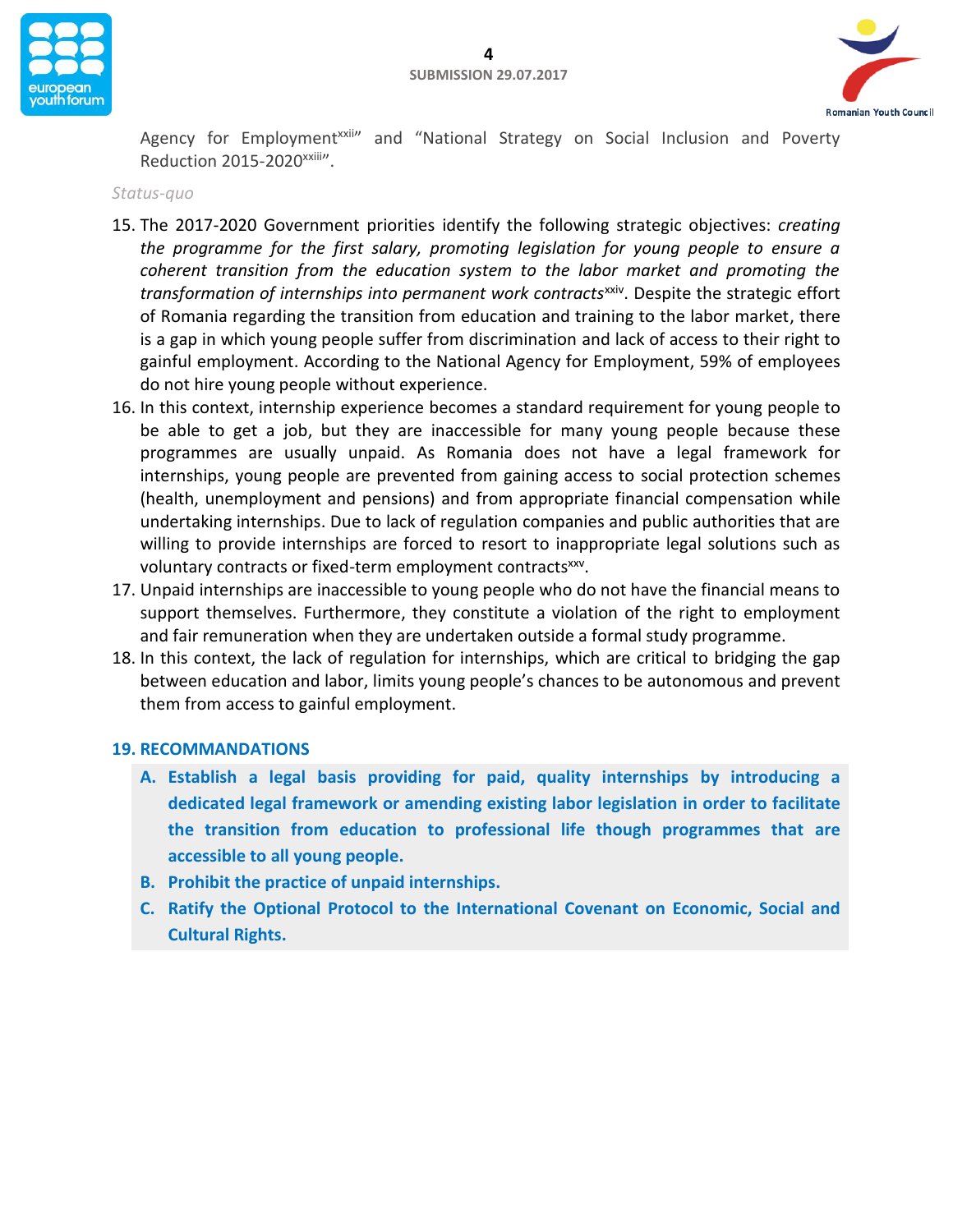



Agency for Employment<sup>xxii</sup>" and "National Strategy on Social Inclusion and Poverty Reduction 2015-2020xxiii".

#### *Status-quo*

- 15. The 2017-2020 Government priorities identify the following strategic objectives: *creating the programme for the first salary, promoting legislation for young people to ensure a coherent transition from the education system to the labor market and promoting the*  transformation of internships into permanent work contracts<sup>xxiv</sup>. Despite the strategic effort of Romania regarding the transition from education and training to the labor market, there is a gap in which young people suffer from discrimination and lack of access to their right to gainful employment. According to the National Agency for Employment, 59% of employees do not hire young people without experience.
- 16. In this context, internship experience becomes a standard requirement for young people to be able to get a job, but they are inaccessible for many young people because these programmes are usually unpaid. As Romania does not have a legal framework for internships, young people are prevented from gaining access to social protection schemes (health, unemployment and pensions) and from appropriate financial compensation while undertaking internships. Due to lack of regulation companies and public authorities that are willing to provide internships are forced to resort to inappropriate legal solutions such as voluntary contracts or fixed-term employment contracts<sup>xxv</sup>.
- 17. Unpaid internships are inaccessible to young people who do not have the financial means to support themselves. Furthermore, they constitute a violation of the right to employment and fair remuneration when they are undertaken outside a formal study programme.
- 18. In this context, the lack of regulation for internships, which are critical to bridging the gap between education and labor, limits young people's chances to be autonomous and prevent them from access to gainful employment.

#### **19. RECOMMANDATIONS**

- **A. Establish a legal basis providing for paid, quality internships by introducing a dedicated legal framework or amending existing labor legislation in order to facilitate the transition from education to professional life though programmes that are accessible to all young people.**
- **B. Prohibit the practice of unpaid internships.**
- **C. Ratify the Optional Protocol to the International Covenant on Economic, Social and Cultural Rights.**